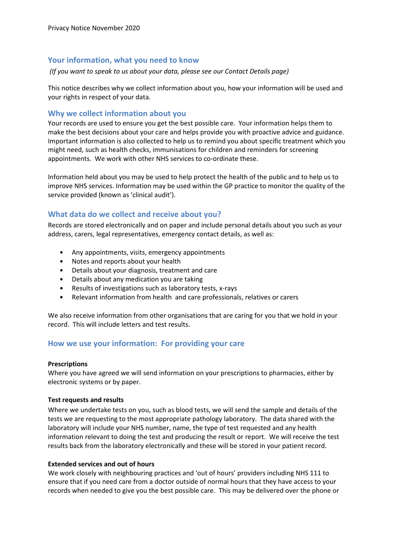## Your information, what you need to know

(If you want to speak to us about your data, please see our Contact Details page)

This notice describes why we collect information about you, how your information will be used and your rights in respect of your data.

## Why we collect information about you

Your records are used to ensure you get the best possible care. Your information helps them to make the best decisions about your care and helps provide you with proactive advice and guidance. Important information is also collected to help us to remind you about specific treatment which you might need, such as health checks, immunisations for children and reminders for screening appointments. We work with other NHS services to co-ordinate these.

Information held about you may be used to help protect the health of the public and to help us to improve NHS services. Information may be used within the GP practice to monitor the quality of the service provided (known as 'clinical audit').

# What data do we collect and receive about you?

Records are stored electronically and on paper and include personal details about you such as your address, carers, legal representatives, emergency contact details, as well as:

- Any appointments, visits, emergency appointments
- Notes and reports about your health
- Details about your diagnosis, treatment and care
- Details about any medication you are taking
- Results of investigations such as laboratory tests, x-rays
- Relevant information from health and care professionals, relatives or carers

We also receive information from other organisations that are caring for you that we hold in your record. This will include letters and test results.

## How we use your information: For providing your care

#### **Prescriptions**

Where you have agreed we will send information on your prescriptions to pharmacies, either by electronic systems or by paper.

### Test requests and results

Where we undertake tests on you, such as blood tests, we will send the sample and details of the tests we are requesting to the most appropriate pathology laboratory. The data shared with the laboratory will include your NHS number, name, the type of test requested and any health information relevant to doing the test and producing the result or report. We will receive the test results back from the laboratory electronically and these will be stored in your patient record.

### Extended services and out of hours

We work closely with neighbouring practices and 'out of hours' providers including NHS 111 to ensure that if you need care from a doctor outside of normal hours that they have access to your records when needed to give you the best possible care. This may be delivered over the phone or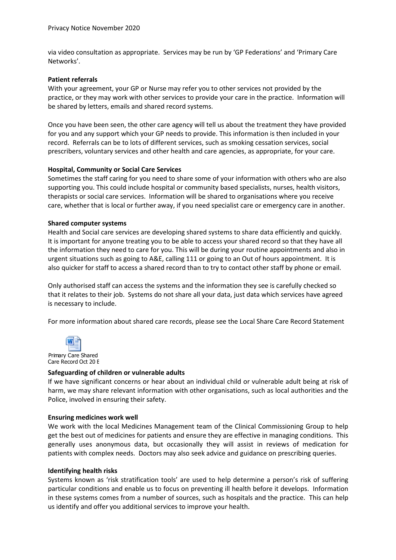via video consultation as appropriate. Services may be run by 'GP Federations' and 'Primary Care Networks'.

### Patient referrals

With your agreement, your GP or Nurse may refer you to other services not provided by the practice, or they may work with other services to provide your care in the practice. Information will be shared by letters, emails and shared record systems.

Once you have been seen, the other care agency will tell us about the treatment they have provided for you and any support which your GP needs to provide. This information is then included in your record. Referrals can be to lots of different services, such as smoking cessation services, social prescribers, voluntary services and other health and care agencies, as appropriate, for your care.

### Hospital, Community or Social Care Services

Sometimes the staff caring for you need to share some of your information with others who are also supporting you. This could include hospital or community based specialists, nurses, health visitors, therapists or social care services. Information will be shared to organisations where you receive care, whether that is local or further away, if you need specialist care or emergency care in another.

### Shared computer systems

Health and Social care services are developing shared systems to share data efficiently and quickly. It is important for anyone treating you to be able to access your shared record so that they have all the information they need to care for you. This will be during your routine appointments and also in urgent situations such as going to A&E, calling 111 or going to an Out of hours appointment. It is also quicker for staff to access a shared record than to try to contact other staff by phone or email.

Only authorised staff can access the systems and the information they see is carefully checked so that it relates to their job. Systems do not share all your data, just data which services have agreed is necessary to include.

For more information about shared care records, please see the Local Share Care Record Statement



### Safeguarding of children or vulnerable adults

If we have significant concerns or hear about an individual child or vulnerable adult being at risk of harm, we may share relevant information with other organisations, such as local authorities and the Police, involved in ensuring their safety.

### Ensuring medicines work well

We work with the local Medicines Management team of the Clinical Commissioning Group to help get the best out of medicines for patients and ensure they are effective in managing conditions. This generally uses anonymous data, but occasionally they will assist in reviews of medication for patients with complex needs. Doctors may also seek advice and guidance on prescribing queries.

### Identifying health risks

Systems known as 'risk stratification tools' are used to help determine a person's risk of suffering particular conditions and enable us to focus on preventing ill health before it develops. Information in these systems comes from a number of sources, such as hospitals and the practice. This can help us identify and offer you additional services to improve your health.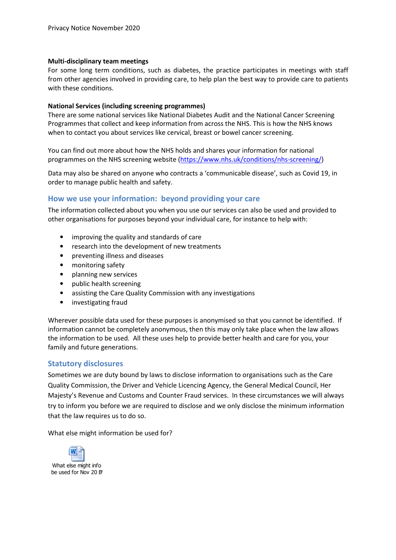### Multi-disciplinary team meetings

For some long term conditions, such as diabetes, the practice participates in meetings with staff from other agencies involved in providing care, to help plan the best way to provide care to patients with these conditions.

### National Services (including screening programmes)

There are some national services like National Diabetes Audit and the National Cancer Screening Programmes that collect and keep information from across the NHS. This is how the NHS knows when to contact you about services like cervical, breast or bowel cancer screening.

You can find out more about how the NHS holds and shares your information for national programmes on the NHS screening website (https://www.nhs.uk/conditions/nhs-screening/)

Data may also be shared on anyone who contracts a 'communicable disease', such as Covid 19, in order to manage public health and safety.

# How we use your information: beyond providing your care

The information collected about you when you use our services can also be used and provided to other organisations for purposes beyond your individual care, for instance to help with:

- improving the quality and standards of care
- research into the development of new treatments
- preventing illness and diseases
- monitoring safety
- planning new services
- public health screening
- assisting the Care Quality Commission with any investigations
- investigating fraud

Wherever possible data used for these purposes is anonymised so that you cannot be identified. If information cannot be completely anonymous, then this may only take place when the law allows the information to be used. All these uses help to provide better health and care for you, your family and future generations.

## Statutory disclosures

Sometimes we are duty bound by laws to disclose information to organisations such as the Care Quality Commission, the Driver and Vehicle Licencing Agency, the General Medical Council, Her Majesty's Revenue and Customs and Counter Fraud services. In these circumstances we will always try to inform you before we are required to disclose and we only disclose the minimum information that the law requires us to do so.

What else might information be used for?

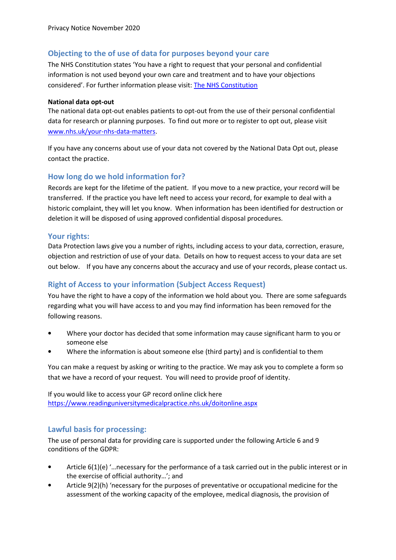# Objecting to the of use of data for purposes beyond your care

The NHS Constitution states 'You have a right to request that your personal and confidential information is not used beyond your own care and treatment and to have your objections considered'. For further information please visit: The NHS Constitution

### National data opt-out

The national data opt-out enables patients to opt-out from the use of their personal confidential data for research or planning purposes. To find out more or to register to opt out, please visit www.nhs.uk/your-nhs-data-matters.

If you have any concerns about use of your data not covered by the National Data Opt out, please contact the practice.

# How long do we hold information for?

Records are kept for the lifetime of the patient. If you move to a new practice, your record will be transferred. If the practice you have left need to access your record, for example to deal with a historic complaint, they will let you know. When information has been identified for destruction or deletion it will be disposed of using approved confidential disposal procedures.

# Your rights:

Data Protection laws give you a number of rights, including access to your data, correction, erasure, objection and restriction of use of your data. Details on how to request access to your data are set out below. If you have any concerns about the accuracy and use of your records, please contact us.

# Right of Access to your information (Subject Access Request)

You have the right to have a copy of the information we hold about you. There are some safeguards regarding what you will have access to and you may find information has been removed for the following reasons.

- Where your doctor has decided that some information may cause significant harm to you or someone else
- Where the information is about someone else (third party) and is confidential to them

You can make a request by asking or writing to the practice. We may ask you to complete a form so that we have a record of your request. You will need to provide proof of identity.

If you would like to access your GP record online click here https://www.readinguniversitymedicalpractice.nhs.uk/doitonline.aspx

# Lawful basis for processing:

The use of personal data for providing care is supported under the following Article 6 and 9 conditions of the GDPR:

- Article 6(1)(e) '…necessary for the performance of a task carried out in the public interest or in the exercise of official authority…'; and
- Article 9(2)(h) 'necessary for the purposes of preventative or occupational medicine for the assessment of the working capacity of the employee, medical diagnosis, the provision of